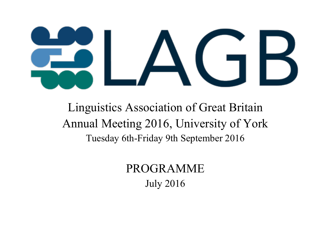

Linguistics Association of Great Britain Annual Meeting 2016, University of York Tuesday 6th-Friday 9th September 2016

> PROGRAMME July 2016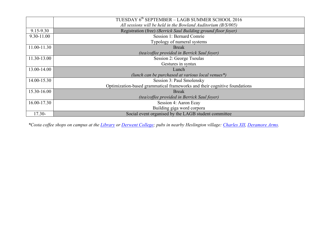|             | TUESDAY 6 <sup>th</sup> SEPTEMBER - LAGB SUMMER SCHOOL 2016               |
|-------------|---------------------------------------------------------------------------|
|             | All sessions will be held in the Bowland Auditorium $(B/S/005)$           |
| 9.15-9.30   | Registration (free) (Berrick Saul Building ground floor foyer)            |
| 9.30-11.00  | Session 1: Bernard Comrie                                                 |
|             | Typology of numeral systems                                               |
| 11.00-11.30 | <b>Break</b>                                                              |
|             | (tea/coffee provided in Berrick Saul foyer)                               |
| 11.30-13.00 | Session 2: George Tsoulas                                                 |
|             | Gestures in syntax                                                        |
| 13.00-14.00 | Lunch                                                                     |
|             | (lunch can be purchased at various local venues*)                         |
| 14.00-15.30 | Session 3: Paul Smolensky                                                 |
|             | Optimization-based grammatical frameworks and their cognitive foundations |
| 15.30-16.00 | <b>Break</b>                                                              |
|             | <i>(tea/coffee provided in Berrick Saul foyer)</i>                        |
| 16.00-17.30 | Session 4: Aaron Ecay                                                     |
|             | Building giga word corpora                                                |
| $17.30 -$   | Social event organised by the LAGB student committee                      |

*\*Costa coffee shops on campus at the Library or Derwent College; pubs in nearby Heslington village: Charles XII, Deramore Arms.*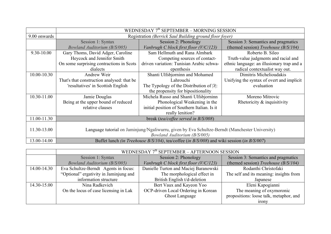|                 | WEDNESDAY $7th$ SEPTEMBER – MORNING SESSION                                                |                                                                                                 |                                            |
|-----------------|--------------------------------------------------------------------------------------------|-------------------------------------------------------------------------------------------------|--------------------------------------------|
| 9.00 onwards    | Registration (Berrick Saul Building ground floor foyer)                                    |                                                                                                 |                                            |
|                 | Session 1: Syntax                                                                          | Session 2: Phonology                                                                            | Session 3: Semantics and pragmatics        |
|                 | <b>Bowland Auditorium (B/S/005)</b>                                                        | Vanbrugh C block first floor (V/C/123)                                                          | (themed session) Treehouse $(B/S/104)$     |
| 9.30-10.00      | Gary Thoms, David Adger, Caroline                                                          | Sam Hellmuth and Rana Almbark                                                                   | Roberto B. Sileo                           |
|                 | Heycock and Jennifer Smith                                                                 | Competing sources of contact-                                                                   | Truth-value judgments and racial and       |
|                 | On some surprising contractions in Scots                                                   | driven variation: Tunisian Arabic schwa-                                                        | ethnic language: an illusionary trap and a |
|                 | dialects                                                                                   | epenthesis                                                                                      | radical contextualist way out.             |
| $10.00 - 10.30$ | Andrew Weir                                                                                | Shanti Ulfsbjorninn and Mohamed                                                                 | Dimitris Michelioudakis                    |
|                 | That's that construction analysed: that be                                                 | Lahrouchi                                                                                       | Unifying the syntax of overt and implicit  |
|                 | 'resultatives' in Scottish English                                                         | The Typology of the Distribution of $ 2 $ :                                                     | evaluation                                 |
|                 |                                                                                            | the propensity for bipositionality                                                              |                                            |
| 10.30-11.00     | Jamie Douglas                                                                              | Michela Russo and Shanti Ulfsbjorninn                                                           | Moreno Mitrovic                            |
|                 | Being at the upper bound of reduced                                                        | Phonological Weakening in the                                                                   | Rhetoricity $\&$ inquisitivity             |
|                 | relative clauses                                                                           | initial position of Southern Italian. Is it                                                     |                                            |
|                 |                                                                                            | really lenition?                                                                                |                                            |
| 11.00-11.30     | break (tea/coffee served in B/S/008)                                                       |                                                                                                 |                                            |
|                 |                                                                                            |                                                                                                 |                                            |
| 11.30-13.00     |                                                                                            | Language tutorial on Jaminjung/Ngaliwurru, given by Eva Schultze-Berndt (Manchester University) |                                            |
|                 |                                                                                            | Bowland Auditorium (B/S/005)                                                                    |                                            |
| 13.00-14.00     | Buffet lunch (in Treehouse B/S/104), tea/coffee (in B/S/008) and wiki session (in B/S/007) |                                                                                                 |                                            |

|             | WEDNESDAY $7th$ SEPTEMBER – AFTERNOON SESSION |                                        |                                         |
|-------------|-----------------------------------------------|----------------------------------------|-----------------------------------------|
|             | Session 1: Syntax                             | Session 2: Phonology                   | Session 3: Semantics and pragmatics     |
|             | <b>Bowland Auditorium (B/S/005)</b>           | Vanbrugh C block first floor (V/C/123) | (themed session) Treehouse $(B/S/104)$  |
| 14.00-14.30 | Eva Schultze-Berndt Agents in focus:          | Danielle Turton and Maciej Baranowski  | Rodanthi Christofaki                    |
|             | "Optional" ergativity in Jaminjung and        | The morphological effect in            | The self and its meaning: insights from |
|             | information structure                         | British English t/d-deletion           | Japanese                                |
| 14.30-15.00 | Nina Radkevich                                | Bert Vaux and Kayeon Yoo               | Eleni Kapogianni                        |
|             | On the locus of case licensing in Lak         | OCP-driven Local Ordering in Korean    | The meaning of oxymoronic               |
|             |                                               | <b>Ghost Language</b>                  | propositions: loose talk, metaphor, and |
|             |                                               |                                        | <b>irony</b>                            |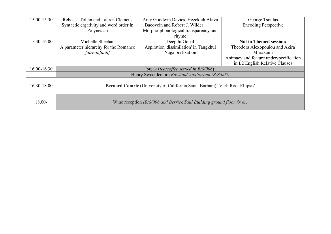| 15.00-15.30     | Rebecca Tollan and Lauren Clemens      | Amy Goodwin Davies, Hezekiah Akiva                                           | George Tsoulas                         |
|-----------------|----------------------------------------|------------------------------------------------------------------------------|----------------------------------------|
|                 | Syntactic ergativity and word order in | Bacovcin and Robert J. Wilder                                                | <b>Encoding Perspective</b>            |
|                 | Polynesian                             | Morpho-phonological transparency and                                         |                                        |
|                 |                                        | rhyme                                                                        |                                        |
| 15.30-16.00     | Michelle Sheehan                       | Deepthi Gopal                                                                | <b>Not in Themed session:</b>          |
|                 | A parameter hierarchy for the Romance  | Aspiration 'dissimilation' in Tangkhul                                       | Theodora Alexopoulou and Akira         |
|                 | faire-infinitif                        | Naga prefixation                                                             | Murakami                               |
|                 |                                        |                                                                              | Animacy and feature underspecification |
|                 |                                        |                                                                              | in L2 English Relative Clauses         |
| $16.00 - 16.30$ |                                        | break (tea/coffee served in B/S/008)                                         |                                        |
|                 |                                        | Henry Sweet lecture <i>Bowland Auditorium (B/S/005)</i>                      |                                        |
|                 |                                        |                                                                              |                                        |
| 16.30-18.00     |                                        | Bernard Comrie (University of California Santa Barbara) 'Verb Root Ellipsis' |                                        |
|                 |                                        |                                                                              |                                        |
|                 |                                        |                                                                              |                                        |
| $18.00 -$       |                                        | Wine reception (B/S/008 and Berrick Saul Building ground floor foyer)        |                                        |
|                 |                                        |                                                                              |                                        |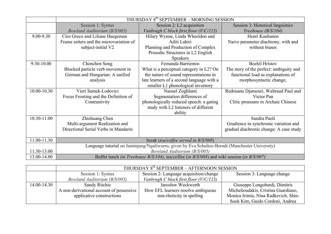|             | THURSDAY 8 <sup>th</sup> SEPTEMBER - MORNING SESSION                                                             |                                           |                                         |
|-------------|------------------------------------------------------------------------------------------------------------------|-------------------------------------------|-----------------------------------------|
|             | Session 1: Syntax                                                                                                | Session 2: L2 acquisition                 | Session 3: Historical linguistics       |
|             | <b>Bowland Auditorium (B/S/005)</b>                                                                              | Vanbrugh C block first floor (V/C/123)    | Treehouse (B/S/104)                     |
| 9.00-9.30   | Ciro Greco and Liliane Haegeman                                                                                  | Hilary Wynne, Linda Wheeldon and          | Henri Kauhanen                          |
|             | Frame setters and the microvariation of                                                                          | Aditi Lahiri                              | Naive parameter diachrony, with and     |
|             | subject-initial V2                                                                                               | Planning and Production of Complex        | without biases                          |
|             |                                                                                                                  | Prosodic Structures in L2 English         |                                         |
|             |                                                                                                                  | <b>Speakers</b>                           |                                         |
| 9.30-10.00  | Chenchen Song                                                                                                    | Fernanda Barrientos                       | <b>Bozhil Hristov</b>                   |
|             | Blocked particle verb movement in                                                                                | What is a perceptual category in L2? On   | The story of the perfect: ambiguity and |
|             | German and Hungarian: A unified                                                                                  | the nature of sound representations in    | functional load as explanations of      |
|             | analysis                                                                                                         | late learners of a second language with a | morphosyntactic change.                 |
|             |                                                                                                                  | smaller L1 phonological inventory         |                                         |
| 10.00-10.30 | Vieri Samek-Lodovici                                                                                             | Naouel Zoghlami                           | Redouane Djamouri, Waltraud Paul and    |
|             | Focus Fronting and the Definition of                                                                             | Segmentation differences of               | Victor Pan                              |
|             | Contrastivity                                                                                                    | phonologically reduced speech: a gating   | Clitic pronouns in Archaic Chinese      |
|             |                                                                                                                  | study with L2 listeners of different      |                                         |
|             |                                                                                                                  | ability                                   |                                         |
| 10.30-11.00 | Zhishuang Chen                                                                                                   |                                           | Sandra Paoli                            |
|             | Multi-argument Realization and                                                                                   |                                           | Gradience in synchronic variation and   |
|             | Directional Serial Verbs in Mandarin                                                                             |                                           | gradual diachronic change: A case study |
|             |                                                                                                                  |                                           |                                         |
| 11.00-11.30 | break (tea/coffee served in B/S/008)                                                                             |                                           |                                         |
|             | Language tutorial on Jaminjung/Ngaliwurru, given by Eva Schultze-Berndt (Manchester University)                  |                                           |                                         |
| 11.30-13.00 | Bowland Auditorium (B/S/005)                                                                                     |                                           |                                         |
| 13.00-14.00 | Buffet lunch <i>(in Treehouse B/S/104)</i> , tea/coffee <i>(in B/S/008)</i> and wiki session <i>(in B/S/007)</i> |                                           |                                         |

|             | THURSDAY 8th SEPTEMBER - AFTERNOON SESSION |                                        |                                      |
|-------------|--------------------------------------------|----------------------------------------|--------------------------------------|
|             | Session 1: Syntax                          | Session 2: Language acquisition/change | Session 3: Language change           |
|             | Bowland Auditorium (B/S/005)               | Vanbrugh C block first floor (V/C/123) |                                      |
| 14.00-14.30 | Sandy Ritchie                              | Jarosław Weckwerth                     | Giuseppe Longobardi, Dimitris        |
|             | A non-derivational account of possessive   | How EFL learners resolve ambiguous     | Michelioudakis, Cristina Guardiano,  |
|             | applicative constructions                  | non-rhoticity in spelling              | Monica Irimia, Nina Radkevich, Shin- |
|             |                                            |                                        | Sook Kim, Guido Cordoni, Andrea      |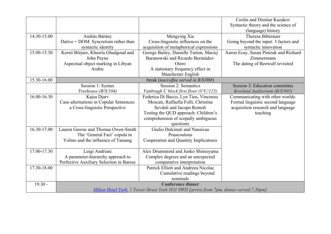|             |                                          |                                                                                        | Ceolin and Dimitar Kazakov            |
|-------------|------------------------------------------|----------------------------------------------------------------------------------------|---------------------------------------|
|             |                                          |                                                                                        | Syntactic theory and the science of   |
|             |                                          |                                                                                        | (language) history                    |
| 14.30-15.00 | András Bárány                            | Mengying Xia                                                                           | Theresa Biberauer                     |
|             | Dative = $DOM$ : Syncretism rather than  | Cross-linguistic influences on the                                                     | Going beyond the input: 3 factors and |
|             | syntactic identity                       | acquisition of metaphorical expressions                                                | syntactic innovation                  |
| 15.00-15.30 | Kersti Börjars, Khawla Ghadgoud and      | George Bailey, Danielle Turton, Maciej                                                 | Aaron Ecay, Susan Pintzuk and Richard |
|             | John Payne                               | Baranowski and Ricardo Bermúdez-                                                       | Zimmermann                            |
|             | Aspectual object marking in Libyan       | Otero                                                                                  | The dating of Beowulf revisited       |
|             | Arabic                                   | A stationary frequency effect in                                                       |                                       |
|             |                                          | Manchester English                                                                     |                                       |
| 15.30-16.00 |                                          | break (tea/coffee served in B/S/008)                                                   |                                       |
|             | Session 1: Syntax                        | Session 2: Semantics                                                                   | Session 3: Education committee        |
|             | Treehouse (B/S/104)                      | Vanbrugh C block first floor (V/C/123)                                                 | <b>Bowland Auditorium (B/S/005)</b>   |
| 16.00-16.30 | Kajsa Djarv                              | Federica Di Bacco, Lyn Tieu, Vincenzo                                                  | Communicating with other worlds:      |
|             | Case-alternations in Copular Sentences:  | Moscati, Raffaella Folli, Christina                                                    | Formal linguistic second language     |
|             | a Cross-linguistic Perspective           | Sevdali and Jacopo Romoli                                                              | acquisition research and language     |
|             |                                          | Testing the QUD approach: Children's                                                   | teaching                              |
|             |                                          | comprehension of scopally ambiguous                                                    |                                       |
|             |                                          | questions                                                                              |                                       |
| 16.30-17.00 | Lauren Gawne and Thomas Owen-Smith       | Giulio Dulcinati and Nausicaa                                                          |                                       |
|             | The 'General Fact' copula in             | Pouscoulous                                                                            |                                       |
|             | Yolmo and the influence of Tamang        | Cooperation and Quantity Implicatures                                                  |                                       |
|             |                                          |                                                                                        |                                       |
| 17.00-17.30 | Luigi Andriani                           | Alex Drummond and Junko Shimoyama                                                      |                                       |
|             | A parameter-hierarchy approach to        | Complex degrees and an unexpected                                                      |                                       |
|             | Perfective Auxiliary Selection in Barese | comparative interpretation                                                             |                                       |
| 17.30-18.00 |                                          | Patrick Elliott and Andreea Nicolae                                                    |                                       |
|             |                                          | Cumulative readings beyond                                                             |                                       |
|             |                                          | nominals                                                                               |                                       |
| $19.30 -$   |                                          | <b>Conference dinner</b>                                                               |                                       |
|             |                                          | Hilton Hotel York, 1 Tower Street York YO1 9WD [arrive from 7pm, dinner served 7.30pm] |                                       |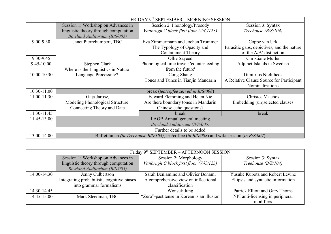|             | FRIDAY 9th SEPTEMBER - MORNING SESSION |                                                                                                                  |                                            |
|-------------|----------------------------------------|------------------------------------------------------------------------------------------------------------------|--------------------------------------------|
|             | Session 1: Workshop on Advances in     | Session 2: Phonology/Prosody                                                                                     | Session 3: Syntax                          |
|             | linguistic theory through computation  | Vanbrugh C block first floor (V/C/123)                                                                           | Treehouse (B/S/104)                        |
|             | Bowland Auditorium (B/S/005)           |                                                                                                                  |                                            |
| 9.00-9.30   | Janet Pierrehumbert, TBC               | Eva Zimmermann and Jochen Trommer                                                                                | Coppe van Urk                              |
|             |                                        | The Typology of Opacity and                                                                                      | Parasitic gaps, depictives, and the nature |
|             |                                        | <b>Containment Theory</b>                                                                                        | of the A/A'-distinction                    |
| 9.30-9.45   |                                        | Ollie Sayeed                                                                                                     | Christiane Müller                          |
| 9.45-10.00  | Stephen Clark                          | Phonological time travel: 'counterfeeding                                                                        | Adjunct Islands in Swedish                 |
|             | Where is the Linguistics in Natural    | from the future'                                                                                                 |                                            |
| 10.00-10.30 | Language Processing?                   | Cong Zhang                                                                                                       | Dimitrios Ntelitheos                       |
|             |                                        | Tones and Tunes in Tianjin Mandarin                                                                              | A Relative Clause Source for Participant   |
|             |                                        |                                                                                                                  | Nominalizations                            |
| 10.30-11.00 | break (tea/coffee served in B/S/008)   |                                                                                                                  |                                            |
| 11.00-11.30 | Gaja Jarosz,                           | Edward Flemming and Helen Nie                                                                                    | Christos Vlachos                           |
|             | Modeling Phonological Structure:       | Are there boundary tones in Mandarin                                                                             | Embedding (un)selected clauses             |
|             | Connecting Theory and Data             | Chinese echo questions?                                                                                          |                                            |
| 11.30-11.45 |                                        | break                                                                                                            | break                                      |
| 11.45-13.00 |                                        | LAGB Annual general meeting                                                                                      |                                            |
|             |                                        | Bowland Auditorium (B/S/005)                                                                                     |                                            |
|             |                                        | Further details to be added                                                                                      |                                            |
| 13.00-14.00 |                                        | Buffet lunch <i>(in Treehouse B/S/104)</i> , tea/coffee <i>(in B/S/008)</i> and wiki session <i>(in B/S/007)</i> |                                            |

|             | Friday 9th SEPTEMBER - AFTERNOON SESSION   |                                            |                                        |
|-------------|--------------------------------------------|--------------------------------------------|----------------------------------------|
|             | Session 1: Workshop on Advances in         | Session 2: Morphology                      | Session 3: Syntax                      |
|             | linguistic theory through computation      | Vanbrugh C block first floor (V/C/123)     | Treehouse $(B/S/104)$                  |
|             | <b>Bowland Auditorium (B/S/005)</b>        |                                            |                                        |
| 14.00-14.30 | Jenny Culbertson                           | Sarah Beniamine and Olivier Bonami         | <b>Yusuke Kubota and Robert Levine</b> |
|             | Integrating probabilistic cognitive biases | A comprehensive view on inflectional       | Ellipsis and syntactic information     |
|             | into grammar formalisms                    | classification                             |                                        |
| 14.30-14.45 |                                            | Wonsuk Jung                                | Patrick Elliott and Gary Thoms         |
| 14.45-15.00 | Mark Steedman, TBC                         | "Zero"-past tense in Korean is an illusion | NPI anti-licensing in peripheral       |
|             |                                            |                                            | modifiers                              |